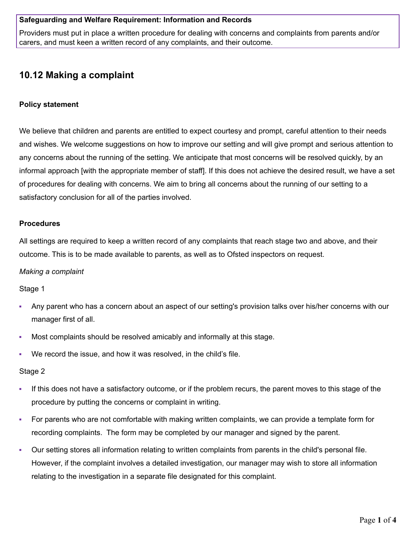## **Safeguarding and Welfare Requirement: Information and Records**

Providers must put in place a written procedure for dealing with concerns and complaints from parents and/or carers, and must keen a written record of any complaints, and their outcome.

# **10.12 Making a complaint**

# **Policy statement**

We believe that children and parents are entitled to expect courtesy and prompt, careful attention to their needs and wishes. We welcome suggestions on how to improve our setting and will give prompt and serious attention to any concerns about the running of the setting. We anticipate that most concerns will be resolved quickly, by an informal approach [with the appropriate member of staff]. If this does not achieve the desired result, we have a set of procedures for dealing with concerns. We aim to bring all concerns about the running of our setting to a satisfactory conclusion for all of the parties involved.

## **Procedures**

All settings are required to keep a written record of any complaints that reach stage two and above, and their outcome. This is to be made available to parents, as well as to Ofsted inspectors on request.

## *Making a complaint*

Stage 1

- Any parent who has a concern about an aspect of our setting's provision talks over his/her concerns with our manager first of all.
- Most complaints should be resolved amicably and informally at this stage.
- We record the issue, and how it was resolved, in the child's file.

## Stage 2

- If this does not have a satisfactory outcome, or if the problem recurs, the parent moves to this stage of the procedure by putting the concerns or complaint in writing.
- For parents who are not comfortable with making written complaints, we can provide a template form for recording complaints. The form may be completed by our manager and signed by the parent.
- Our setting stores all information relating to written complaints from parents in the child's personal file. However, if the complaint involves a detailed investigation, our manager may wish to store all information relating to the investigation in a separate file designated for this complaint.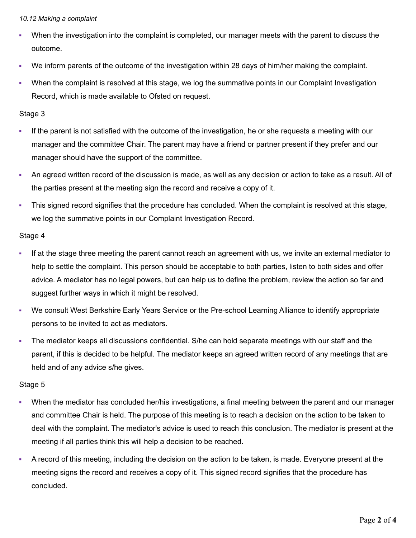#### *10.12 Making a complaint*

- When the investigation into the complaint is completed, our manager meets with the parent to discuss the outcome.
- We inform parents of the outcome of the investigation within 28 days of him/her making the complaint.
- When the complaint is resolved at this stage, we log the summative points in our Complaint Investigation Record, which is made available to Ofsted on request.

# Stage 3

- If the parent is not satisfied with the outcome of the investigation, he or she requests a meeting with our manager and the committee Chair. The parent may have a friend or partner present if they prefer and our manager should have the support of the committee.
- An agreed written record of the discussion is made, as well as any decision or action to take as a result. All of the parties present at the meeting sign the record and receive a copy of it.
- This signed record signifies that the procedure has concluded. When the complaint is resolved at this stage, we log the summative points in our Complaint Investigation Record.

# Stage 4

- If at the stage three meeting the parent cannot reach an agreement with us, we invite an external mediator to help to settle the complaint. This person should be acceptable to both parties, listen to both sides and offer advice. A mediator has no legal powers, but can help us to define the problem, review the action so far and suggest further ways in which it might be resolved.
- We consult West Berkshire Early Years Service or the Pre-school Learning Alliance to identify appropriate persons to be invited to act as mediators.
- The mediator keeps all discussions confidential. S/he can hold separate meetings with our staff and the parent, if this is decided to be helpful. The mediator keeps an agreed written record of any meetings that are held and of any advice s/he gives.

# Stage 5

- When the mediator has concluded her/his investigations, a final meeting between the parent and our manager and committee Chair is held. The purpose of this meeting is to reach a decision on the action to be taken to deal with the complaint. The mediator's advice is used to reach this conclusion. The mediator is present at the meeting if all parties think this will help a decision to be reached.
- A record of this meeting, including the decision on the action to be taken, is made. Everyone present at the meeting signs the record and receives a copy of it. This signed record signifies that the procedure has concluded.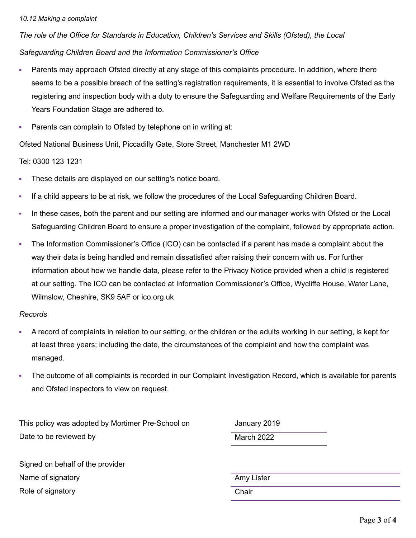#### *10.12 Making a complaint*

*The role of the Office for Standards in Education, Children's Services and Skills (Ofsted), the Local Safeguarding Children Board and the Information Commissioner's Office*

- Parents may approach Ofsted directly at any stage of this complaints procedure. In addition, where there seems to be a possible breach of the setting's registration requirements, it is essential to involve Ofsted as the registering and inspection body with a duty to ensure the Safeguarding and Welfare Requirements of the Early Years Foundation Stage are adhered to.
- **Parents can complain to Ofsted by telephone on in writing at:**

Ofsted National Business Unit, Piccadilly Gate, Store Street, Manchester M1 2WD

Tel: 0300 123 1231

- **These details are displayed on our setting's notice board.**
- If a child appears to be at risk, we follow the procedures of the Local Safeguarding Children Board.
- In these cases, both the parent and our setting are informed and our manager works with Ofsted or the Local Safeguarding Children Board to ensure a proper investigation of the complaint, followed by appropriate action.
- The Information Commissioner's Office (ICO) can be contacted if a parent has made a complaint about the way their data is being handled and remain dissatisfied after raising their concern with us. For further information about how we handle data, please refer to the Privacy Notice provided when a child is registered at our setting. The ICO can be contacted at Information Commissioner's Office, Wycliffe House, Water Lane, Wilmslow, Cheshire, SK9 5AF or ico.org.uk

## *Records*

- A record of complaints in relation to our setting, or the children or the adults working in our setting, is kept for at least three years; including the date, the circumstances of the complaint and how the complaint was managed.
- The outcome of all complaints is recorded in our Complaint Investigation Record, which is available for parents and Ofsted inspectors to view on request.

This policy was adopted by Mortimer Pre-School on January 2019 Date to be reviewed by March 2022

Signed on behalf of the provider Name of signatory and the state of signatory and the state of signatory and the state of state  $\mathsf{A}$ my Lister Role of signatory **Chair**